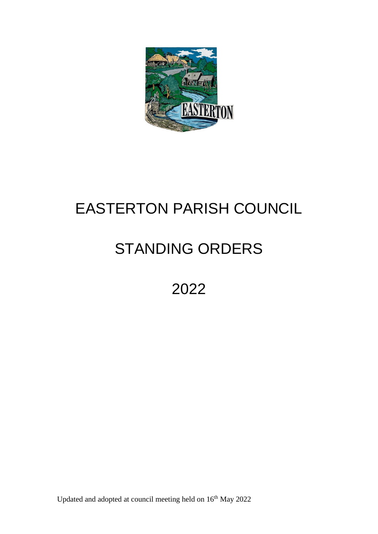

# EASTERTON PARISH COUNCIL

# STANDING ORDERS

2022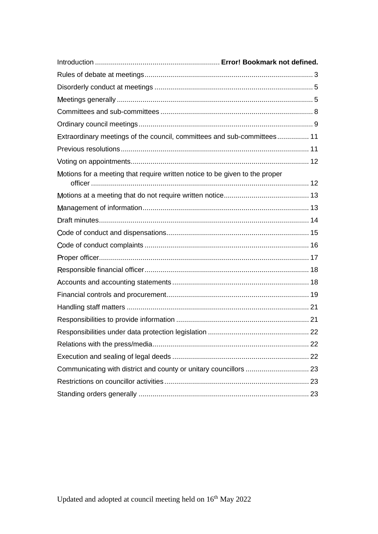| Extraordinary meetings of the council, committees and sub-committees 11     |  |
|-----------------------------------------------------------------------------|--|
|                                                                             |  |
|                                                                             |  |
| Motions for a meeting that require written notice to be given to the proper |  |
|                                                                             |  |
|                                                                             |  |
|                                                                             |  |
|                                                                             |  |
|                                                                             |  |
|                                                                             |  |
|                                                                             |  |
|                                                                             |  |
|                                                                             |  |
|                                                                             |  |
|                                                                             |  |
|                                                                             |  |
|                                                                             |  |
|                                                                             |  |
|                                                                             |  |
|                                                                             |  |
|                                                                             |  |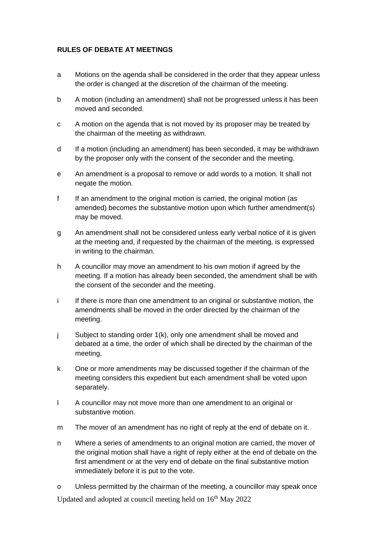# <span id="page-2-0"></span>**RULES OF DEBATE AT MEETINGS**

- a Motions on the agenda shall be considered in the order that they appear unless the order is changed at the discretion of the chairman of the meeting.
- b A motion (including an amendment) shall not be progressed unless it has been moved and seconded.
- c A motion on the agenda that is not moved by its proposer may be treated by the chairman of the meeting as withdrawn.
- d If a motion (including an amendment) has been seconded, it may be withdrawn by the proposer only with the consent of the seconder and the meeting.
- e An amendment is a proposal to remove or add words to a motion. It shall not negate the motion.
- f If an amendment to the original motion is carried, the original motion (as amended) becomes the substantive motion upon which further amendment(s) may be moved.
- g An amendment shall not be considered unless early verbal notice of it is given at the meeting and, if requested by the chairman of the meeting, is expressed in writing to the chairman.
- h A councillor may move an amendment to his own motion if agreed by the meeting. If a motion has already been seconded, the amendment shall be with the consent of the seconder and the meeting.
- i If there is more than one amendment to an original or substantive motion, the amendments shall be moved in the order directed by the chairman of the meeting.
- j Subject to standing order 1(k), only one amendment shall be moved and debated at a time, the order of which shall be directed by the chairman of the meeting.
- k One or more amendments may be discussed together if the chairman of the meeting considers this expedient but each amendment shall be voted upon separately.
- l A councillor may not move more than one amendment to an original or substantive motion.
- m The mover of an amendment has no right of reply at the end of debate on it.
- n Where a series of amendments to an original motion are carried, the mover of the original motion shall have a right of reply either at the end of debate on the first amendment or at the very end of debate on the final substantive motion immediately before it is put to the vote.
- o Unless permitted by the chairman of the meeting, a councillor may speak once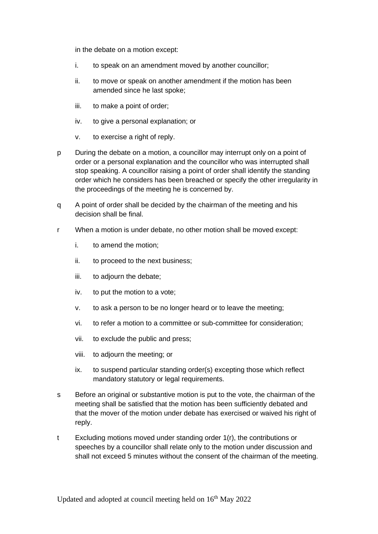in the debate on a motion except:

- i. to speak on an amendment moved by another councillor;
- ii. to move or speak on another amendment if the motion has been amended since he last spoke;
- iii. to make a point of order;
- iv. to give a personal explanation; or
- v. to exercise a right of reply.
- p During the debate on a motion, a councillor may interrupt only on a point of order or a personal explanation and the councillor who was interrupted shall stop speaking. A councillor raising a point of order shall identify the standing order which he considers has been breached or specify the other irregularity in the proceedings of the meeting he is concerned by.
- q A point of order shall be decided by the chairman of the meeting and his decision shall be final.
- r When a motion is under debate, no other motion shall be moved except:
	- i. to amend the motion;
	- ii. to proceed to the next business;
	- iii. to adjourn the debate;
	- iv. to put the motion to a vote;
	- v. to ask a person to be no longer heard or to leave the meeting;
	- vi. to refer a motion to a committee or sub-committee for consideration;
	- vii. to exclude the public and press;
	- viii. to adjourn the meeting; or
	- ix. to suspend particular standing order(s) excepting those which reflect mandatory statutory or legal requirements.
- s Before an original or substantive motion is put to the vote, the chairman of the meeting shall be satisfied that the motion has been sufficiently debated and that the mover of the motion under debate has exercised or waived his right of reply.
- t Excluding motions moved under standing order 1(r), the contributions or speeches by a councillor shall relate only to the motion under discussion and shall not exceed 5 minutes without the consent of the chairman of the meeting.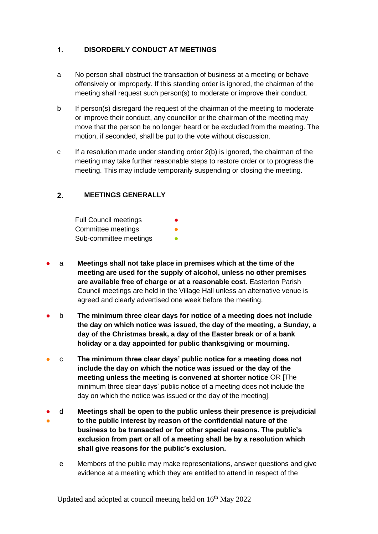#### <span id="page-4-0"></span> $1.$ **DISORDERLY CONDUCT AT MEETINGS**

- a No person shall obstruct the transaction of business at a meeting or behave offensively or improperly. If this standing order is ignored, the chairman of the meeting shall request such person(s) to moderate or improve their conduct.
- b If person(s) disregard the request of the chairman of the meeting to moderate or improve their conduct, any councillor or the chairman of the meeting may move that the person be no longer heard or be excluded from the meeting. The motion, if seconded, shall be put to the vote without discussion.
- c If a resolution made under standing order 2(b) is ignored, the chairman of the meeting may take further reasonable steps to restore order or to progress the meeting. This may include temporarily suspending or closing the meeting.

#### <span id="page-4-1"></span> $2.$ **MEETINGS GENERALLY**

Full Council meetings Committee meetings Sub-committee meetings

- a **Meetings shall not take place in premises which at the time of the meeting are used for the supply of alcohol, unless no other premises are available free of charge or at a reasonable cost.** Easterton Parish Council meetings are held in the Village Hall unless an alternative venue is agreed and clearly advertised one week before the meeting.
- b **The minimum three clear days for notice of a meeting does not include the day on which notice was issued, the day of the meeting, a Sunday, a day of the Christmas break, a day of the Easter break or of a bank holiday or a day appointed for public thanksgiving or mourning.**
- c **The minimum three clear days' public notice for a meeting does not include the day on which the notice was issued or the day of the meeting unless the meeting is convened at shorter notice** OR [The minimum three clear days' public notice of a meeting does not include the day on which the notice was issued or the day of the meeting].
- ● d **Meetings shall be open to the public unless their presence is prejudicial to the public interest by reason of the confidential nature of the business to be transacted or for other special reasons. The public's exclusion from part or all of a meeting shall be by a resolution which shall give reasons for the public's exclusion.**
	- e Members of the public may make representations, answer questions and give evidence at a meeting which they are entitled to attend in respect of the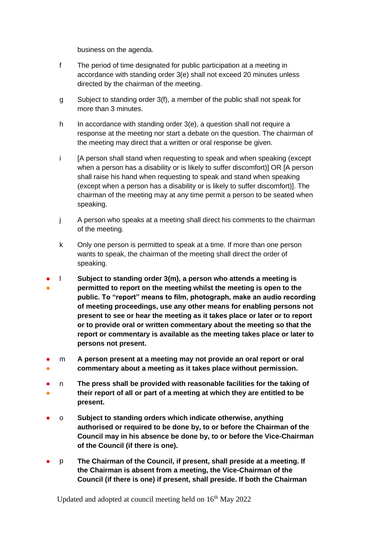business on the agenda.

- f The period of time designated for public participation at a meeting in accordance with standing order 3(e) shall not exceed 20 minutes unless directed by the chairman of the meeting.
- g Subject to standing order 3(f), a member of the public shall not speak for more than 3 minutes.
- h In accordance with standing order 3(e), a question shall not require a response at the meeting nor start a debate on the question. The chairman of the meeting may direct that a written or oral response be given.
- i [A person shall stand when requesting to speak and when speaking (except when a person has a disability or is likely to suffer discomfort)] OR [A person shall raise his hand when requesting to speak and stand when speaking (except when a person has a disability or is likely to suffer discomfort)]. The chairman of the meeting may at any time permit a person to be seated when speaking.
- j A person who speaks at a meeting shall direct his comments to the chairman of the meeting.
- k Only one person is permitted to speak at a time. If more than one person wants to speak, the chairman of the meeting shall direct the order of speaking.
- ● l **Subject to standing order 3(m), a person who attends a meeting is permitted to report on the meeting whilst the meeting is open to the public. To "report" means to film, photograph, make an audio recording of meeting proceedings, use any other means for enabling persons not present to see or hear the meeting as it takes place or later or to report or to provide oral or written commentary about the meeting so that the report or commentary is available as the meeting takes place or later to persons not present.**
- ● m **A person present at a meeting may not provide an oral report or oral commentary about a meeting as it takes place without permission.**
- ● n **The press shall be provided with reasonable facilities for the taking of their report of all or part of a meeting at which they are entitled to be present.**
- o **Subject to standing orders which indicate otherwise, anything authorised or required to be done by, to or before the Chairman of the Council may in his absence be done by, to or before the Vice-Chairman of the Council (if there is one).**
- p **The Chairman of the Council, if present, shall preside at a meeting. If the Chairman is absent from a meeting, the Vice-Chairman of the Council (if there is one) if present, shall preside. If both the Chairman**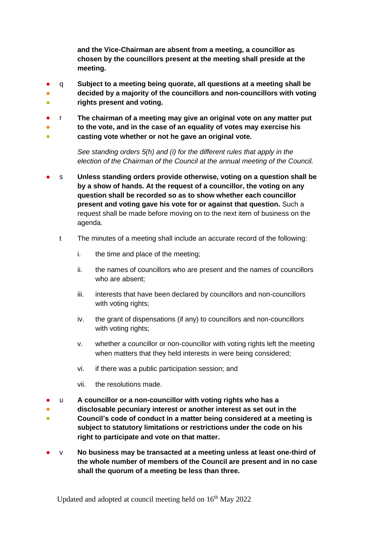**and the Vice-Chairman are absent from a meeting, a councillor as chosen by the councillors present at the meeting shall preside at the meeting.**

- ● q **Subject to a meeting being quorate, all questions at a meeting shall be decided by a majority of the councillors and non-councillors with voting**
- **rights present and voting.**
- r **The chairman of a meeting may give an original vote on any matter put**
- **to the vote, and in the case of an equality of votes may exercise his**
- **casting vote whether or not he gave an original vote.**

*See standing orders 5(h) and (i) for the different rules that apply in the election of the Chairman of the Council at the annual meeting of the Council.*

- s Unless standing orders provide otherwise, voting on a question shall be **by a show of hands. At the request of a councillor, the voting on any question shall be recorded so as to show whether each councillor present and voting gave his vote for or against that question.** Such a request shall be made before moving on to the next item of business on the agenda.
	- t The minutes of a meeting shall include an accurate record of the following:
		- i. the time and place of the meeting;
		- ii. the names of councillors who are present and the names of councillors who are absent;
		- iii. interests that have been declared by councillors and non-councillors with voting rights;
		- iv. the grant of dispensations (if any) to councillors and non-councillors with voting rights;
		- v. whether a councillor or non-councillor with voting rights left the meeting when matters that they held interests in were being considered;
		- vi. if there was a public participation session; and
		- vii. the resolutions made.
- u **A councillor or a non-councillor with voting rights who has a**
- **disclosable pecuniary interest or another interest as set out in the**
- **Council's code of conduct in a matter being considered at a meeting is subject to statutory limitations or restrictions under the code on his right to participate and vote on that matter.**
- v **No business may be transacted at a meeting unless at least one-third of the whole number of members of the Council are present and in no case shall the quorum of a meeting be less than three.**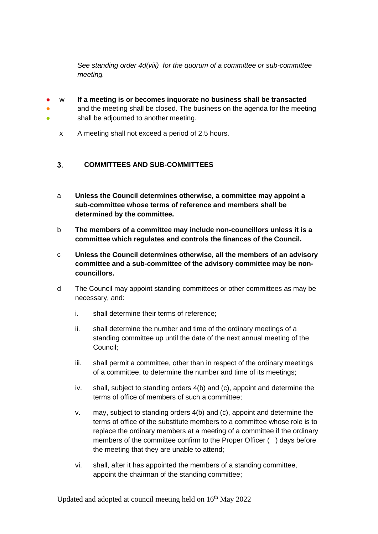*See standing order 4d(viii) for the quorum of a committee or sub-committee meeting.* 

- w **If a meeting is or becomes inquorate no business shall be transacted**
- ● and the meeting shall be closed. The business on the agenda for the meeting shall be adjourned to another meeting.
	- x A meeting shall not exceed a period of 2.5 hours.

#### <span id="page-7-0"></span> $3<sub>1</sub>$ **COMMITTEES AND SUB-COMMITTEES**

- a **Unless the Council determines otherwise, a committee may appoint a sub-committee whose terms of reference and members shall be determined by the committee.**
- b **The members of a committee may include non-councillors unless it is a committee which regulates and controls the finances of the Council.**
- c **Unless the Council determines otherwise, all the members of an advisory committee and a sub-committee of the advisory committee may be noncouncillors.**
- d The Council may appoint standing committees or other committees as may be necessary, and:
	- i. shall determine their terms of reference;
	- ii. shall determine the number and time of the ordinary meetings of a standing committee up until the date of the next annual meeting of the Council;
	- iii. shall permit a committee, other than in respect of the ordinary meetings of a committee, to determine the number and time of its meetings;
	- iv. shall, subject to standing orders 4(b) and (c), appoint and determine the terms of office of members of such a committee;
	- v. may, subject to standing orders 4(b) and (c), appoint and determine the terms of office of the substitute members to a committee whose role is to replace the ordinary members at a meeting of a committee if the ordinary members of the committee confirm to the Proper Officer () days before the meeting that they are unable to attend;
	- vi. shall, after it has appointed the members of a standing committee, appoint the chairman of the standing committee;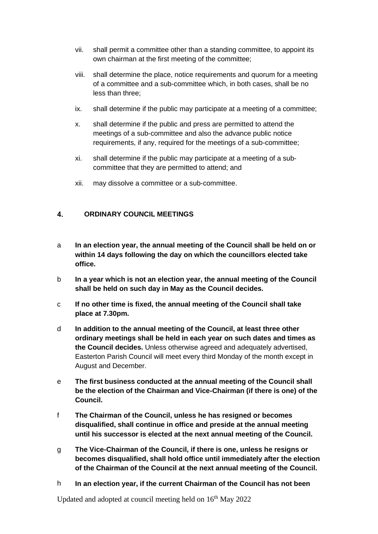- vii. shall permit a committee other than a standing committee, to appoint its own chairman at the first meeting of the committee;
- viii. shall determine the place, notice requirements and quorum for a meeting of a committee and a sub-committee which, in both cases, shall be no less than three;
- ix. shall determine if the public may participate at a meeting of a committee;
- x. shall determine if the public and press are permitted to attend the meetings of a sub-committee and also the advance public notice requirements, if any, required for the meetings of a sub-committee;
- xi. shall determine if the public may participate at a meeting of a subcommittee that they are permitted to attend; and
- xii. may dissolve a committee or a sub-committee.

#### <span id="page-8-0"></span> $\mathbf{4}$ **ORDINARY COUNCIL MEETINGS**

- a **In an election year, the annual meeting of the Council shall be held on or within 14 days following the day on which the councillors elected take office.**
- b **In a year which is not an election year, the annual meeting of the Council shall be held on such day in May as the Council decides.**
- c **If no other time is fixed, the annual meeting of the Council shall take place at 7.30pm.**
- d **In addition to the annual meeting of the Council, at least three other ordinary meetings shall be held in each year on such dates and times as the Council decides.** Unless otherwise agreed and adequately advertised, Easterton Parish Council will meet every third Monday of the month except in August and December.
- e **The first business conducted at the annual meeting of the Council shall be the election of the Chairman and Vice-Chairman (if there is one) of the Council.**
- f **The Chairman of the Council, unless he has resigned or becomes disqualified, shall continue in office and preside at the annual meeting until his successor is elected at the next annual meeting of the Council.**
- g **The Vice-Chairman of the Council, if there is one, unless he resigns or becomes disqualified, shall hold office until immediately after the election of the Chairman of the Council at the next annual meeting of the Council.**
- h **In an election year, if the current Chairman of the Council has not been**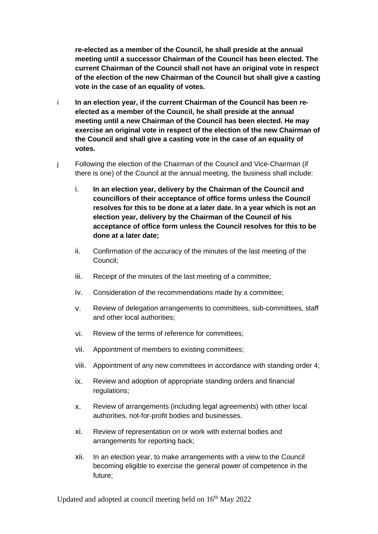**re-elected as a member of the Council, he shall preside at the annual meeting until a successor Chairman of the Council has been elected. The current Chairman of the Council shall not have an original vote in respect of the election of the new Chairman of the Council but shall give a casting vote in the case of an equality of votes.**

- i **In an election year, if the current Chairman of the Council has been reelected as a member of the Council, he shall preside at the annual meeting until a new Chairman of the Council has been elected. He may exercise an original vote in respect of the election of the new Chairman of the Council and shall give a casting vote in the case of an equality of votes.**
- j Following the election of the Chairman of the Council and Vice-Chairman (if there is one) of the Council at the annual meeting, the business shall include:
	- i. **In an election year, delivery by the Chairman of the Council and councillors of their acceptance of office forms unless the Council resolves for this to be done at a later date. In a year which is not an election year, delivery by the Chairman of the Council of his acceptance of office form unless the Council resolves for this to be done at a later date;**
	- ii. Confirmation of the accuracy of the minutes of the last meeting of the Council;
	- iii. Receipt of the minutes of the last meeting of a committee;
	- iv. Consideration of the recommendations made by a committee;
	- v. Review of delegation arrangements to committees, sub-committees, staff and other local authorities;
	- vi. Review of the terms of reference for committees;
	- vii. Appointment of members to existing committees;
	- viii. Appointment of any new committees in accordance with standing order 4;
	- ix. Review and adoption of appropriate standing orders and financial regulations;
	- x. Review of arrangements (including legal agreements) with other local authorities, not-for-profit bodies and businesses.
	- xi. Review of representation on or work with external bodies and arrangements for reporting back;
	- xii. In an election year, to make arrangements with a view to the Council becoming eligible to exercise the general power of competence in the future;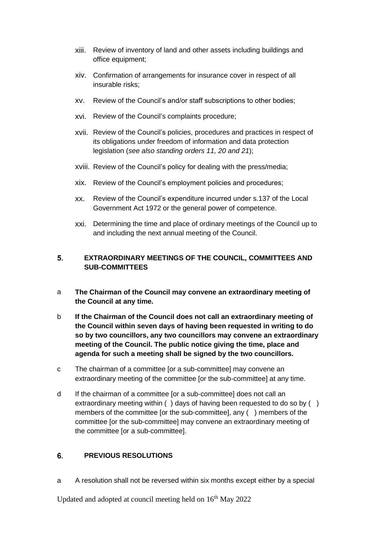- xiii. Review of inventory of land and other assets including buildings and office equipment;
- xiv. Confirmation of arrangements for insurance cover in respect of all insurable risks;
- xv. Review of the Council's and/or staff subscriptions to other bodies;
- xvi. Review of the Council's complaints procedure;
- xvii. Review of the Council's policies, procedures and practices in respect of its obligations under freedom of information and data protection legislation (*see also standing orders 11, 20 and 21*);
- xviii. Review of the Council's policy for dealing with the press/media;
- xix. Review of the Council's employment policies and procedures;
- xx. Review of the Council's expenditure incurred under s.137 of the Local Government Act 1972 or the general power of competence.
- xxi. Determining the time and place of ordinary meetings of the Council up to and including the next annual meeting of the Council.

### <span id="page-10-0"></span> $5<sub>1</sub>$ **EXTRAORDINARY MEETINGS OF THE COUNCIL, COMMITTEES AND SUB-COMMITTEES**

- a **The Chairman of the Council may convene an extraordinary meeting of the Council at any time.**
- b **If the Chairman of the Council does not call an extraordinary meeting of the Council within seven days of having been requested in writing to do so by two councillors, any two councillors may convene an extraordinary meeting of the Council. The public notice giving the time, place and agenda for such a meeting shall be signed by the two councillors.**
- c The chairman of a committee [or a sub-committee] may convene an extraordinary meeting of the committee [or the sub-committee] at any time.
- d If the chairman of a committee [or a sub-committee] does not call an extraordinary meeting within () days of having been requested to do so by () members of the committee [or the sub-committee], any ( ) members of the committee [or the sub-committee] may convene an extraordinary meeting of the committee [or a sub-committee].

#### <span id="page-10-1"></span>**PREVIOUS RESOLUTIONS** 6

a A resolution shall not be reversed within six months except either by a special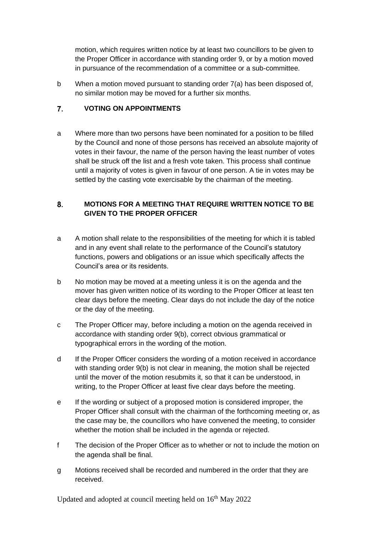motion, which requires written notice by at least two councillors to be given to the Proper Officer in accordance with standing order 9, or by a motion moved in pursuance of the recommendation of a committee or a sub-committee.

b When a motion moved pursuant to standing order 7(a) has been disposed of, no similar motion may be moved for a further six months.

#### <span id="page-11-0"></span> $\overline{7}$ . **VOTING ON APPOINTMENTS**

a Where more than two persons have been nominated for a position to be filled by the Council and none of those persons has received an absolute majority of votes in their favour, the name of the person having the least number of votes shall be struck off the list and a fresh vote taken. This process shall continue until a majority of votes is given in favour of one person. A tie in votes may be settled by the casting vote exercisable by the chairman of the meeting.

### <span id="page-11-1"></span>8. **MOTIONS FOR A MEETING THAT REQUIRE WRITTEN NOTICE TO BE GIVEN TO THE PROPER OFFICER**

- a A motion shall relate to the responsibilities of the meeting for which it is tabled and in any event shall relate to the performance of the Council's statutory functions, powers and obligations or an issue which specifically affects the Council's area or its residents.
- b No motion may be moved at a meeting unless it is on the agenda and the mover has given written notice of its wording to the Proper Officer at least ten clear days before the meeting. Clear days do not include the day of the notice or the day of the meeting.
- c The Proper Officer may, before including a motion on the agenda received in accordance with standing order 9(b), correct obvious grammatical or typographical errors in the wording of the motion.
- d If the Proper Officer considers the wording of a motion received in accordance with standing order 9(b) is not clear in meaning, the motion shall be rejected until the mover of the motion resubmits it, so that it can be understood, in writing, to the Proper Officer at least five clear days before the meeting.
- e If the wording or subject of a proposed motion is considered improper, the Proper Officer shall consult with the chairman of the forthcoming meeting or, as the case may be, the councillors who have convened the meeting, to consider whether the motion shall be included in the agenda or rejected.
- f The decision of the Proper Officer as to whether or not to include the motion on the agenda shall be final.
- g Motions received shall be recorded and numbered in the order that they are received.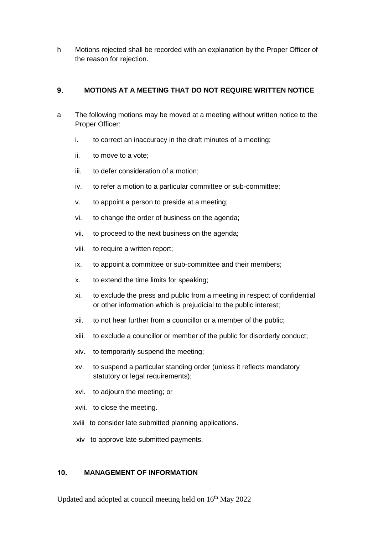h Motions rejected shall be recorded with an explanation by the Proper Officer of the reason for rejection.

#### <span id="page-12-0"></span>9. **MOTIONS AT A MEETING THAT DO NOT REQUIRE WRITTEN NOTICE**

- a The following motions may be moved at a meeting without written notice to the Proper Officer:
	- i. to correct an inaccuracy in the draft minutes of a meeting;
	- ii. to move to a vote;
	- iii. to defer consideration of a motion;
	- iv. to refer a motion to a particular committee or sub-committee;
	- v. to appoint a person to preside at a meeting;
	- vi. to change the order of business on the agenda;
	- vii. to proceed to the next business on the agenda;
	- viii. to require a written report;
	- ix. to appoint a committee or sub-committee and their members;
	- x. to extend the time limits for speaking;
	- xi. to exclude the press and public from a meeting in respect of confidential or other information which is prejudicial to the public interest;
	- xii. to not hear further from a councillor or a member of the public;
	- xiii. to exclude a councillor or member of the public for disorderly conduct;
	- xiv. to temporarily suspend the meeting;
	- xv. to suspend a particular standing order (unless it reflects mandatory statutory or legal requirements);
	- xvi. to adjourn the meeting; or
	- xvii. to close the meeting.
	- xviii to consider late submitted planning applications.
	- xiv to approve late submitted payments.

#### <span id="page-12-1"></span>**MANAGEMENT OF INFORMATION**  $10<sub>1</sub>$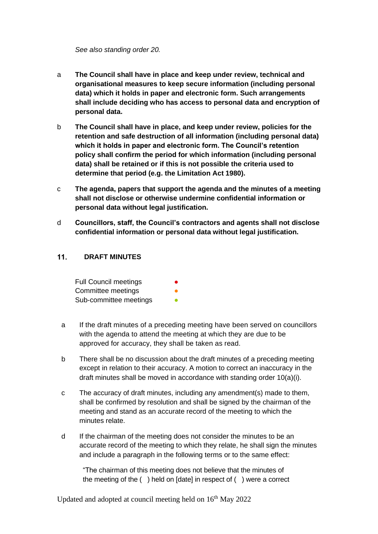## *See also standing order 20.*

- a **The Council shall have in place and keep under review, technical and organisational measures to keep secure information (including personal data) which it holds in paper and electronic form. Such arrangements shall include deciding who has access to personal data and encryption of personal data.**
- b **The Council shall have in place, and keep under review, policies for the retention and safe destruction of all information (including personal data) which it holds in paper and electronic form. The Council's retention policy shall confirm the period for which information (including personal data) shall be retained or if this is not possible the criteria used to determine that period (e.g. the Limitation Act 1980).**
- c **The agenda, papers that support the agenda and the minutes of a meeting shall not disclose or otherwise undermine confidential information or personal data without legal justification.**
- d **Councillors, staff, the Council's contractors and agents shall not disclose confidential information or personal data without legal justification.**

#### <span id="page-13-0"></span> $11.$ **DRAFT MINUTES**

| <b>Full Council meetings</b> |  |
|------------------------------|--|
| Committee meetings           |  |
| Sub-committee meetings       |  |

- a If the draft minutes of a preceding meeting have been served on councillors with the agenda to attend the meeting at which they are due to be approved for accuracy, they shall be taken as read.
- b There shall be no discussion about the draft minutes of a preceding meeting except in relation to their accuracy. A motion to correct an inaccuracy in the draft minutes shall be moved in accordance with standing order 10(a)(i).
- c The accuracy of draft minutes, including any amendment(s) made to them, shall be confirmed by resolution and shall be signed by the chairman of the meeting and stand as an accurate record of the meeting to which the minutes relate.
- d If the chairman of the meeting does not consider the minutes to be an accurate record of the meeting to which they relate, he shall sign the minutes and include a paragraph in the following terms or to the same effect:

"The chairman of this meeting does not believe that the minutes of the meeting of the ( ) held on [date] in respect of ( ) were a correct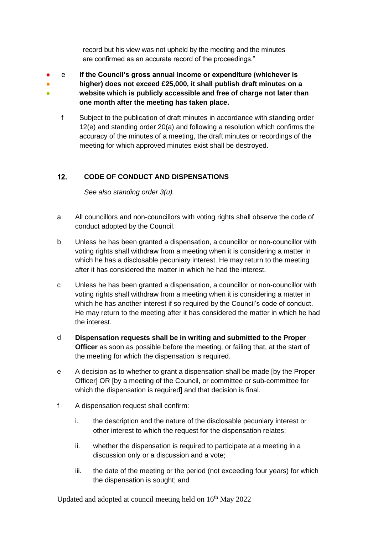record but his view was not upheld by the meeting and the minutes are confirmed as an accurate record of the proceedings."

- ● ● e **If the Council's gross annual income or expenditure (whichever is higher) does not exceed £25,000, it shall publish draft minutes on a website which is publicly accessible and free of charge not later than one month after the meeting has taken place.**
	- f Subject to the publication of draft minutes in accordance with standing order 12(e) and standing order 20(a) and following a resolution which confirms the accuracy of the minutes of a meeting, the draft minutes or recordings of the meeting for which approved minutes exist shall be destroyed.

#### <span id="page-14-0"></span> $12.$ **CODE OF CONDUCT AND DISPENSATIONS**

*See also standing order 3(u).*

- a All councillors and non-councillors with voting rights shall observe the code of conduct adopted by the Council.
- b Unless he has been granted a dispensation, a councillor or non-councillor with voting rights shall withdraw from a meeting when it is considering a matter in which he has a disclosable pecuniary interest. He may return to the meeting after it has considered the matter in which he had the interest.
- c Unless he has been granted a dispensation, a councillor or non-councillor with voting rights shall withdraw from a meeting when it is considering a matter in which he has another interest if so required by the Council's code of conduct. He may return to the meeting after it has considered the matter in which he had the interest.
- d **Dispensation requests shall be in writing and submitted to the Proper Officer** as soon as possible before the meeting, or failing that, at the start of the meeting for which the dispensation is required.
- e A decision as to whether to grant a dispensation shall be made [by the Proper Officer] OR [by a meeting of the Council, or committee or sub-committee for which the dispensation is required] and that decision is final.
- f A dispensation request shall confirm:
	- i. the description and the nature of the disclosable pecuniary interest or other interest to which the request for the dispensation relates;
	- ii. whether the dispensation is required to participate at a meeting in a discussion only or a discussion and a vote;
	- iii. the date of the meeting or the period (not exceeding four years) for which the dispensation is sought; and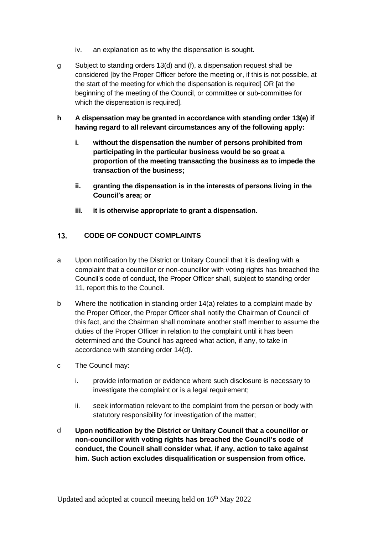- iv. an explanation as to why the dispensation is sought.
- g Subject to standing orders 13(d) and (f), a dispensation request shall be considered [by the Proper Officer before the meeting or, if this is not possible, at the start of the meeting for which the dispensation is required] OR [at the beginning of the meeting of the Council, or committee or sub-committee for which the dispensation is required].
- **h A dispensation may be granted in accordance with standing order 13(e) if having regard to all relevant circumstances any of the following apply:**
	- **i. without the dispensation the number of persons prohibited from participating in the particular business would be so great a proportion of the meeting transacting the business as to impede the transaction of the business;**
	- **ii. granting the dispensation is in the interests of persons living in the Council's area; or**
	- **iii. it is otherwise appropriate to grant a dispensation.**

#### <span id="page-15-0"></span> $13.$ **CODE OF CONDUCT COMPLAINTS**

- a Upon notification by the District or Unitary Council that it is dealing with a complaint that a councillor or non-councillor with voting rights has breached the Council's code of conduct, the Proper Officer shall, subject to standing order 11, report this to the Council.
- b Where the notification in standing order 14(a) relates to a complaint made by the Proper Officer, the Proper Officer shall notify the Chairman of Council of this fact, and the Chairman shall nominate another staff member to assume the duties of the Proper Officer in relation to the complaint until it has been determined and the Council has agreed what action, if any, to take in accordance with standing order 14(d).
- c The Council may:
	- i. provide information or evidence where such disclosure is necessary to investigate the complaint or is a legal requirement;
	- ii. seek information relevant to the complaint from the person or body with statutory responsibility for investigation of the matter;
- <span id="page-15-1"></span>d **Upon notification by the District or Unitary Council that a councillor or non-councillor with voting rights has breached the Council's code of conduct, the Council shall consider what, if any, action to take against him. Such action excludes disqualification or suspension from office.**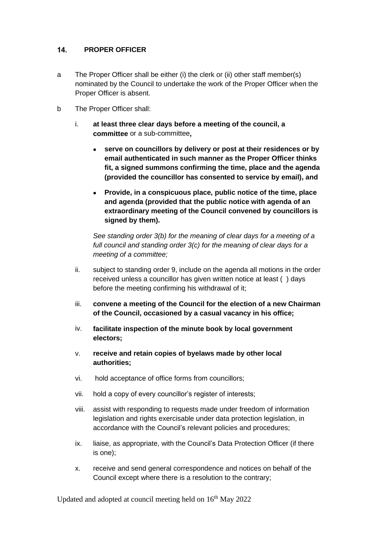#### $14.$ **PROPER OFFICER**

- a The Proper Officer shall be either (i) the clerk or (ii) other staff member(s) nominated by the Council to undertake the work of the Proper Officer when the Proper Officer is absent.
- b The Proper Officer shall:
	- i. **at least three clear days before a meeting of the council, a committee** or a sub-committee**,**
		- **serve on councillors by delivery or post at their residences or by email authenticated in such manner as the Proper Officer thinks fit, a signed summons confirming the time, place and the agenda (provided the councillor has consented to service by email), and**
		- **Provide, in a conspicuous place, public notice of the time, place and agenda (provided that the public notice with agenda of an extraordinary meeting of the Council convened by councillors is signed by them).**

*See standing order 3(b) for the meaning of clear days for a meeting of a full council and standing order 3(c) for the meaning of clear days for a meeting of a committee;*

- ii. subject to standing order 9, include on the agenda all motions in the order received unless a councillor has given written notice at least ( ) days before the meeting confirming his withdrawal of it;
- iii. **convene a meeting of the Council for the election of a new Chairman of the Council, occasioned by a casual vacancy in his office;**
- iv. **facilitate inspection of the minute book by local government electors;**
- v. **receive and retain copies of byelaws made by other local authorities;**
- vi. hold acceptance of office forms from councillors;
- vii. hold a copy of every councillor's register of interests;
- viii. assist with responding to requests made under freedom of information legislation and rights exercisable under data protection legislation, in accordance with the Council's relevant policies and procedures;
- ix. liaise, as appropriate, with the Council's Data Protection Officer (if there is one);
- x. receive and send general correspondence and notices on behalf of the Council except where there is a resolution to the contrary;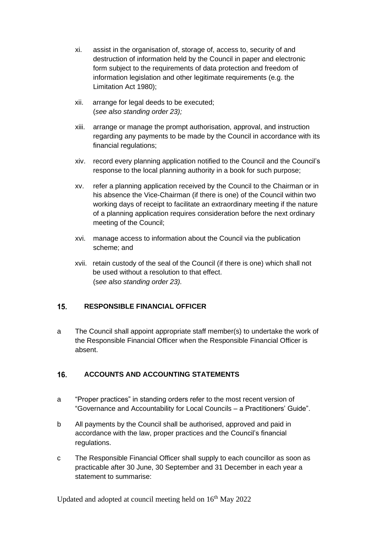- xi. assist in the organisation of, storage of, access to, security of and destruction of information held by the Council in paper and electronic form subject to the requirements of data protection and freedom of information legislation and other legitimate requirements (e.g. the Limitation Act 1980);
- xii. arrange for legal deeds to be executed; (*see also standing order 23);*
- xiii. arrange or manage the prompt authorisation, approval, and instruction regarding any payments to be made by the Council in accordance with its financial regulations;
- xiv. record every planning application notified to the Council and the Council's response to the local planning authority in a book for such purpose;
- xv. refer a planning application received by the Council to the Chairman or in his absence the Vice-Chairman (if there is one) of the Council within two working days of receipt to facilitate an extraordinary meeting if the nature of a planning application requires consideration before the next ordinary meeting of the Council;
- xvi. manage access to information about the Council via the publication scheme; and
- xvii. retain custody of the seal of the Council (if there is one) which shall not be used without a resolution to that effect. (s*ee also standing order 23).*

#### <span id="page-17-0"></span> $15.$ **RESPONSIBLE FINANCIAL OFFICER**

a The Council shall appoint appropriate staff member(s) to undertake the work of the Responsible Financial Officer when the Responsible Financial Officer is absent.

#### <span id="page-17-1"></span>16. **ACCOUNTS AND ACCOUNTING STATEMENTS**

- a "Proper practices" in standing orders refer to the most recent version of "Governance and Accountability for Local Councils – a Practitioners' Guide".
- b All payments by the Council shall be authorised, approved and paid in accordance with the law, proper practices and the Council's financial regulations.
- c The Responsible Financial Officer shall supply to each councillor as soon as practicable after 30 June, 30 September and 31 December in each year a statement to summarise: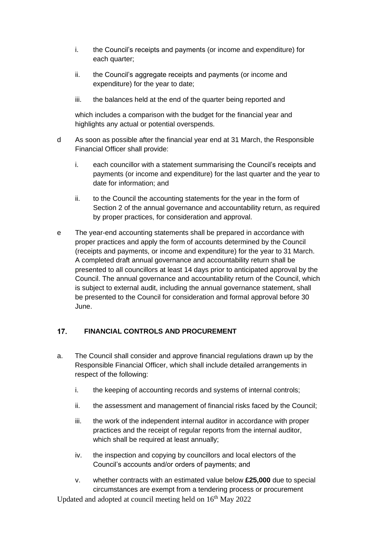- i. the Council's receipts and payments (or income and expenditure) for each quarter;
- ii. the Council's aggregate receipts and payments (or income and expenditure) for the year to date;
- iii. the balances held at the end of the quarter being reported and

which includes a comparison with the budget for the financial year and highlights any actual or potential overspends.

- d As soon as possible after the financial year end at 31 March, the Responsible Financial Officer shall provide:
	- i. each councillor with a statement summarising the Council's receipts and payments (or income and expenditure) for the last quarter and the year to date for information; and
	- ii. to the Council the accounting statements for the year in the form of Section 2 of the annual governance and accountability return, as required by proper practices, for consideration and approval.
- e The year-end accounting statements shall be prepared in accordance with proper practices and apply the form of accounts determined by the Council (receipts and payments, or income and expenditure) for the year to 31 March. A completed draft annual governance and accountability return shall be presented to all councillors at least 14 days prior to anticipated approval by the Council. The annual governance and accountability return of the Council, which is subject to external audit, including the annual governance statement, shall be presented to the Council for consideration and formal approval before 30 June.

#### <span id="page-18-0"></span> $17.$ **FINANCIAL CONTROLS AND PROCUREMENT**

- a. The Council shall consider and approve financial regulations drawn up by the Responsible Financial Officer, which shall include detailed arrangements in respect of the following:
	- i. the keeping of accounting records and systems of internal controls;
	- ii. the assessment and management of financial risks faced by the Council;
	- iii. the work of the independent internal auditor in accordance with proper practices and the receipt of regular reports from the internal auditor, which shall be required at least annually;
	- iv. the inspection and copying by councillors and local electors of the Council's accounts and/or orders of payments; and
	- v. whether contracts with an estimated value below **£25,000** due to special circumstances are exempt from a tendering process or procurement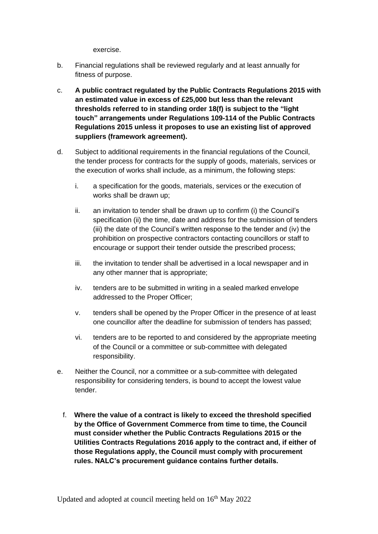exercise.

- b. Financial regulations shall be reviewed regularly and at least annually for fitness of purpose.
- c. **A public contract regulated by the Public Contracts Regulations 2015 with an estimated value in excess of £25,000 but less than the relevant thresholds referred to in standing order 18(f) is subject to the "light touch" arrangements under Regulations 109-114 of the Public Contracts Regulations 2015 unless it proposes to use an existing list of approved suppliers (framework agreement).**
- d. Subject to additional requirements in the financial regulations of the Council, the tender process for contracts for the supply of goods, materials, services or the execution of works shall include, as a minimum, the following steps:
	- i. a specification for the goods, materials, services or the execution of works shall be drawn up;
	- ii. an invitation to tender shall be drawn up to confirm (i) the Council's specification (ii) the time, date and address for the submission of tenders (iii) the date of the Council's written response to the tender and (iv) the prohibition on prospective contractors contacting councillors or staff to encourage or support their tender outside the prescribed process;
	- iii. the invitation to tender shall be advertised in a local newspaper and in any other manner that is appropriate;
	- iv. tenders are to be submitted in writing in a sealed marked envelope addressed to the Proper Officer;
	- v. tenders shall be opened by the Proper Officer in the presence of at least one councillor after the deadline for submission of tenders has passed;
	- vi. tenders are to be reported to and considered by the appropriate meeting of the Council or a committee or sub-committee with delegated responsibility.
- e. Neither the Council, nor a committee or a sub-committee with delegated responsibility for considering tenders, is bound to accept the lowest value tender.
	- f. **Where the value of a contract is likely to exceed the threshold specified by the Office of Government Commerce from time to time, the Council must consider whether the Public Contracts Regulations 2015 or the Utilities Contracts Regulations 2016 apply to the contract and, if either of those Regulations apply, the Council must comply with procurement rules. NALC's procurement guidance contains further details.**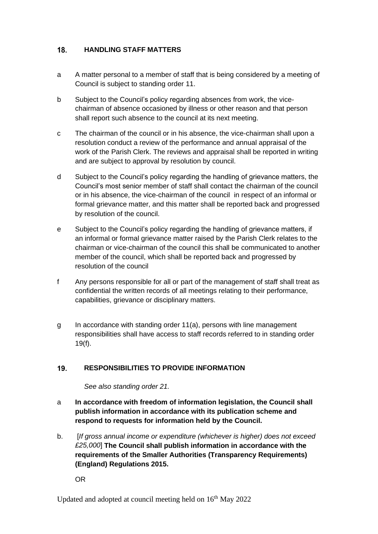#### <span id="page-20-0"></span> $18.$ **HANDLING STAFF MATTERS**

- a A matter personal to a member of staff that is being considered by a meeting of Council is subject to standing order 11.
- b Subject to the Council's policy regarding absences from work, the vicechairman of absence occasioned by illness or other reason and that person shall report such absence to the council at its next meeting.
- c The chairman of the council or in his absence, the vice-chairman shall upon a resolution conduct a review of the performance and annual appraisal of the work of the Parish Clerk. The reviews and appraisal shall be reported in writing and are subject to approval by resolution by council.
- d Subject to the Council's policy regarding the handling of grievance matters, the Council's most senior member of staff shall contact the chairman of the council or in his absence, the vice-chairman of the council in respect of an informal or formal grievance matter, and this matter shall be reported back and progressed by resolution of the council.
- e Subject to the Council's policy regarding the handling of grievance matters, if an informal or formal grievance matter raised by the Parish Clerk relates to the chairman or vice-chairman of the council this shall be communicated to another member of the council, which shall be reported back and progressed by resolution of the council
- f Any persons responsible for all or part of the management of staff shall treat as confidential the written records of all meetings relating to their performance, capabilities, grievance or disciplinary matters.
- g In accordance with standing order 11(a), persons with line management responsibilities shall have access to staff records referred to in standing order 19(f).

#### <span id="page-20-1"></span> $19.$ **RESPONSIBILITIES TO PROVIDE INFORMATION**

*See also standing order 21.*

- a **In accordance with freedom of information legislation, the Council shall publish information in accordance with its publication scheme and respond to requests for information held by the Council.**
- b. [*If gross annual income or expenditure (whichever is higher) does not exceed £25,000*] **The Council shall publish information in accordance with the requirements of the Smaller Authorities (Transparency Requirements) (England) Regulations 2015.**

OR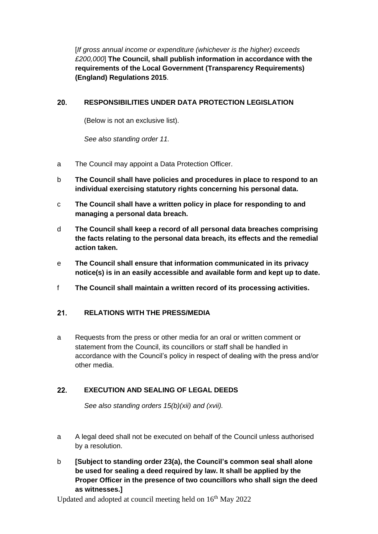[*If gross annual income or expenditure (whichever is the higher) exceeds £200,000*] **The Council, shall publish information in accordance with the requirements of the Local Government (Transparency Requirements) (England) Regulations 2015**.

#### <span id="page-21-0"></span> $20.$ **RESPONSIBILITIES UNDER DATA PROTECTION LEGISLATION**

(Below is not an exclusive list).

*See also standing order 11.*

- a The Council may appoint a Data Protection Officer.
- b **The Council shall have policies and procedures in place to respond to an individual exercising statutory rights concerning his personal data.**
- c **The Council shall have a written policy in place for responding to and managing a personal data breach.**
- d **The Council shall keep a record of all personal data breaches comprising the facts relating to the personal data breach, its effects and the remedial action taken.**
- e **The Council shall ensure that information communicated in its privacy notice(s) is in an easily accessible and available form and kept up to date.**
- f **The Council shall maintain a written record of its processing activities.**

#### <span id="page-21-1"></span> $21.$ **RELATIONS WITH THE PRESS/MEDIA**

a Requests from the press or other media for an oral or written comment or statement from the Council, its councillors or staff shall be handled in accordance with the Council's policy in respect of dealing with the press and/or other media.

#### <span id="page-21-2"></span> $22.$ **EXECUTION AND SEALING OF LEGAL DEEDS**

*See also standing orders 15(b)(xii) and (xvii).*

- a A legal deed shall not be executed on behalf of the Council unless authorised by a resolution.
- b **[Subject to standing order 23(a), the Council's common seal shall alone be used for sealing a deed required by law. It shall be applied by the Proper Officer in the presence of two councillors who shall sign the deed as witnesses.]**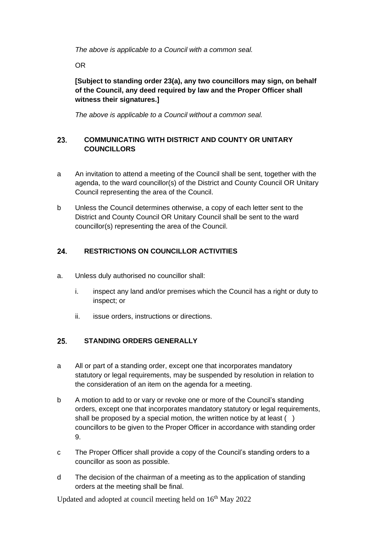*The above is applicable to a Council with a common seal.*

OR

**[Subject to standing order 23(a), any two councillors may sign, on behalf of the Council, any deed required by law and the Proper Officer shall witness their signatures.]** 

*The above is applicable to a Council without a common seal.*

## <span id="page-22-0"></span>**COMMUNICATING WITH DISTRICT AND COUNTY OR UNITARY**  23. **COUNCILLORS**

- a An invitation to attend a meeting of the Council shall be sent, together with the agenda, to the ward councillor(s) of the District and County Council OR Unitary Council representing the area of the Council.
- b Unless the Council determines otherwise, a copy of each letter sent to the District and County Council OR Unitary Council shall be sent to the ward councillor(s) representing the area of the Council.

#### <span id="page-22-1"></span>24. **RESTRICTIONS ON COUNCILLOR ACTIVITIES**

- a. Unless duly authorised no councillor shall:
	- i. inspect any land and/or premises which the Council has a right or duty to inspect; or
	- ii. issue orders, instructions or directions.

#### <span id="page-22-2"></span> $25.$ **STANDING ORDERS GENERALLY**

- a All or part of a standing order, except one that incorporates mandatory statutory or legal requirements, may be suspended by resolution in relation to the consideration of an item on the agenda for a meeting.
- b A motion to add to or vary or revoke one or more of the Council's standing orders, except one that incorporates mandatory statutory or legal requirements, shall be proposed by a special motion, the written notice by at least () councillors to be given to the Proper Officer in accordance with standing order 9.
- c The Proper Officer shall provide a copy of the Council's standing orders to a councillor as soon as possible.
- d The decision of the chairman of a meeting as to the application of standing orders at the meeting shall be final.